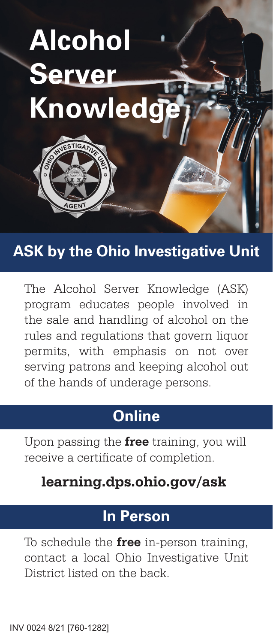

# **ASK by the Ohio Investigative Unit**

The Alcohol Server Knowledge (ASK) program educates people involved in the sale and handling of alcohol on the rules and regulations that govern liquor permits, with emphasis on not over serving patrons and keeping alcohol out of the hands of underage persons.

# **Online**

Upon passing the **free** training, you will receive a certificate of completion.

## **learning.dps.ohio.gov/ask**

# **In Person**

To schedule the **free** in-person training, contact a local Ohio Investigative Unit District listed on the back.